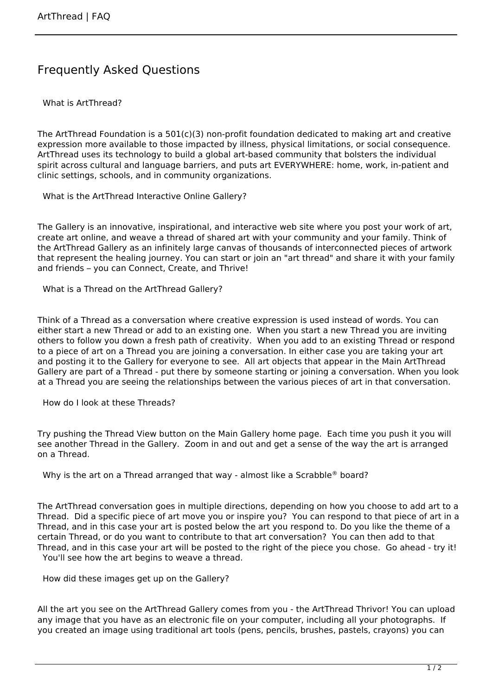## Frequently Asked Questions

What is ArtThread?

The ArtThread Foundation is a  $501(c)(3)$  non-profit foundation dedicated to making art and creative expression more available to those impacted by illness, physical limitations, or social consequence. ArtThread uses its technology to build a global art-based community that bolsters the individual spirit across cultural and language barriers, and puts art EVERYWHERE: home, work, in-patient and clinic settings, schools, and in community organizations.

What is the ArtThread Interactive Online Gallery?

The Gallery is an innovative, inspirational, and interactive web site where you post your work of art, create art online, and weave a thread of shared art with your community and your family. Think of the ArtThread Gallery as an infinitely large canvas of thousands of interconnected pieces of artwork that represent the healing journey. You can start or join an "art thread" and share it with your family and friends – you can Connect, Create, and Thrive!

What is a Thread on the ArtThread Gallery?

Think of a Thread as a conversation where creative expression is used instead of words. You can either start a new Thread or add to an existing one. When you start a new Thread you are inviting others to follow you down a fresh path of creativity. When you add to an existing Thread or respond to a piece of art on a Thread you are joining a conversation. In either case you are taking your art and posting it to the Gallery for everyone to see. All art objects that appear in the Main ArtThread Gallery are part of a Thread - put there by someone starting or joining a conversation. When you look at a Thread you are seeing the relationships between the various pieces of art in that conversation.

How do I look at these Threads?

Try pushing the Thread View button on the Main Gallery home page. Each time you push it you will see another Thread in the Gallery. Zoom in and out and get a sense of the way the art is arranged on a Thread.

Why is the art on a Thread arranged that way - almost like a Scrabble® board?

The ArtThread conversation goes in multiple directions, depending on how you choose to add art to a Thread. Did a specific piece of art move you or inspire you? You can respond to that piece of art in a Thread, and in this case your art is posted below the art you respond to. Do you like the theme of a certain Thread, or do you want to contribute to that art conversation? You can then add to that Thread, and in this case your art will be posted to the right of the piece you chose. Go ahead - try it! You'll see how the art begins to weave a thread.

How did these images get up on the Gallery?

All the art you see on the ArtThread Gallery comes from you - the ArtThread Thrivor! You can upload any image that you have as an electronic file on your computer, including all your photographs. If you created an image using traditional art tools (pens, pencils, brushes, pastels, crayons) you can